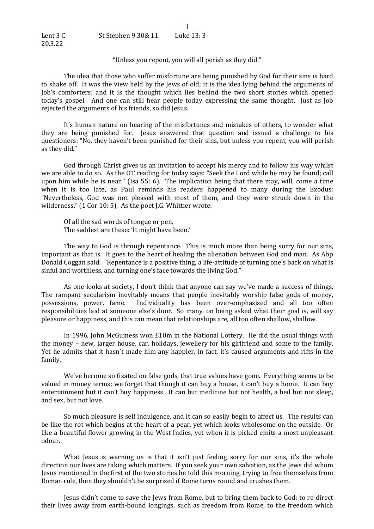"Unless you repent, you will all perish as they did."

1

The idea that those who suffer misfortune are being punished by God for their sins is hard to shake off. It was the view held by the Jews of old; it is the idea lying behind the arguments of Job's comforters; and it is the thought which lies behind the two short stories which opened today's gospel. And one can still hear people today expressing the same thought. Just as Job rejected the arguments of his friends, so did Jesus.

It's human nature on hearing of the misfortunes and mistakes of others, to wonder what they are being punished for. Jesus answered that question and issued a challenge to his questioners: "No, they haven't been punished for their sins, but unless you repent, you will perish as they did."

God through Christ gives us an invitation to accept his mercy and to follow his way whilst we are able to do so. As the OT reading for today says: "Seek the Lord while he may be found; call upon him while he is near." (Isa 55: 6). The implication being that there may, will, come a time when it is too late, as Paul reminds his readers happened to many during the Exodus: "Nevertheless, God was not pleased with most of them, and they were struck down in the wilderness." (1 Cor 10: 5). As the poet J.G. Whittier wrote:

Of all the sad words of tongue or pen, The saddest are these: 'It might have been.'

The way to God is through repentance. This is much more than being sorry for our sins, important as that is. It goes to the heart of healing the alienation between God and man. As Abp Donald Coggan said: "Repentance is a positive thing, a life-attitude of turning one's back on what is sinful and worthless, and turning one's face towards the living God."

As one looks at society, I don't think that anyone can say we've made a success of things. The rampant secularism inevitably means that people inevitably worship false gods of money, possessions, power, fame. Individuality has been over-emphasised and all too often responsibilities laid at someone else's door. So many, on being asked what their goal is, will say pleasure or happiness, and this can mean that relationships are, all too often shallow, shallow.

In 1996, John McGuiness won  $£10m$  in the National Lottery. He did the usual things with the money – new, larger house, car, holidays, jewellery for his girlfriend and some to the family. Yet he admits that it hasn't made him any happier, in fact, it's caused arguments and rifts in the family.

We've become so fixated on false gods, that true values have gone. Everything seems to be valued in money terms; we forget that though it can buy a house, it can't buy a home. It can buy entertainment but it can't buy happiness. It can but medicine but not health, a bed but not sleep, and sex, but not love.

So much pleasure is self indulgence, and it can so easily begin to affect us. The results can be like the rot which begins at the heart of a pear, yet which looks wholesome on the outside. Or like a beautiful flower growing in the West Indies, yet when it is picked emits a most unpleasant odour.

What Jesus is warning us is that it isn't just feeling sorry for our sins, it's the whole direction our lives are taking which matters. If you seek your own salvation, as the lews did whom Jesus mentioned in the first of the two stories he told this morning, trying to free themselves from Roman rule, then they shouldn't be surprised if Rome turns round and crushes them.

Jesus didn't come to save the Jews from Rome, but to bring them back to God; to re-direct their lives away from earth-bound longings, such as freedom from Rome, to the freedom which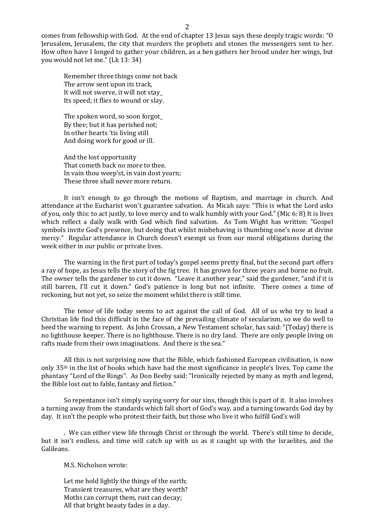comes from fellowship with God. At the end of chapter 13 lesus says these deeply tragic words: "O Jerusalem, Jerusalem, the city that murders the prophets and stones the messengers sent to her. How often have I longed to gather your children, as a hen gathers her brood under her wings, but you would not let me." (Lk 13: 34)

Remember three things come not back The arrow sent upon its track, It will not swerve, it will not stay\_ Its speed; it flies to wound or slay.

The spoken word, so soon forgot By thee; but it has perished not; In other hearts 'tis living still And doing work for good or ill.

And the lost opportunity That cometh back no more to thee. In vain thou weep'st, in vain dost yearn; These three shall never more return.

It isn't enough to go through the motions of Baptism, and marriage in church. And attendance at the Eucharist won't guarantee salvation. As Micah says: "This is what the Lord asks of you, only this: to act justly, to love mercy and to walk humbly with your God." (Mic 6: 8) It is lives which reflect a daily walk with God which find salvation. As Tom Wight has written: "Gospel symbols invite God's presence, but doing that whilst misbehaving is thumbing one's nose at divine mercy." Regular attendance in Church doesn't exempt us from our moral obligations during the week either in our public or private lives.

The warning in the first part of today's gospel seems pretty final, but the second part offers a ray of hope, as Jesus tells the story of the fig tree. It has grown for three years and borne no fruit. The owner tells the gardener to cut it down. "Leave it another year," said the gardener, "and if it is still barren, I'll cut it down." God's patience is long but not infinite. There comes a time of reckoning, but not yet, so seize the moment whilst there is still time.

The tenor of life today seems to act against the call of God. All of us who try to lead a Christian life find this difficult in the face of the prevailing climate of secularism, so we do well to heed the warning to repent. As John Crossan, a New Testament scholar, has said: "(Today) there is no lighthouse keeper. There is no lighthouse. There is no dry land. There are only people living on rafts made from their own imaginations. And there is the sea."

All this is not surprising now that the Bible, which fashioned European civilisation, is now only  $35<sup>th</sup>$  in the list of books which have had the most significance in people's lives. Top came the phantasy "Lord of the Rings". As Don Beeby said: "Ironically rejected by many as myth and legend, the Bible lost out to fable, fantasy and fiction."

So repentance isn't simply saying sorry for our sins, though this is part of it. It also involves a turning away from the standards which fall short of God's way, and a turning towards God day by day. It isn't the people who protest their faith, but those who live it who fulfill God's will

. We can either view life through Christ or through the world. There's still time to decide, but it isn't endless, and time will catch up with us as it caught up with the Israelites, and the Galileans.

M.S. Nicholson wrote:

Let me hold lightly the things of the earth; Transient treasures, what are they worth? Moths can corrupt them, rust can decay; All that bright beauty fades in a day.